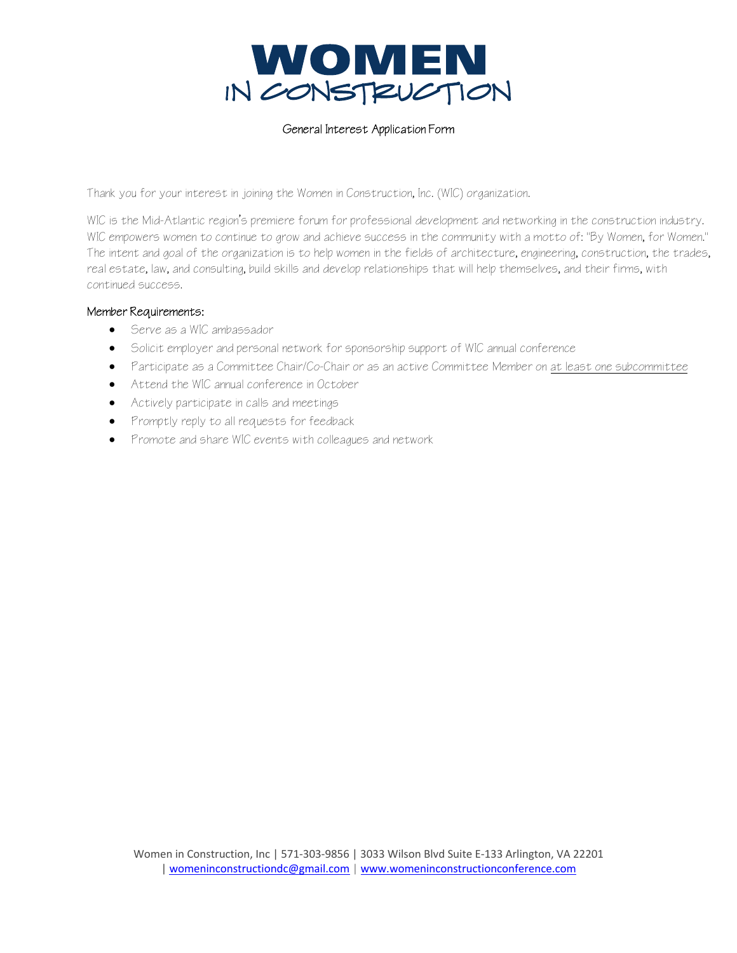

## General Interest Application Form

Thank you for your interest in joining the Women in Construction, Inc. (WIC) organization.

WIC is the Mid-Atlantic region's premiere forum for professional development and networking in the construction industry. WIC empowers women to continue to grow and achieve success in the community with a motto of: "By Women, for Women." The intent and goal of the organization is to help women in the fields of architecture, engineering, construction, the trades, real estate, law, and consulting, build skills and develop relationships that will help themselves, and their firms, with continued success.

## Member Requirements:

- Serve as a WIC ambassador
- Solicit employer and personal network for sponsorship support of WIC annual conference
- Participate as a Committee Chair/Co-Chair or as an active Committee Member on at least one subcommittee
- Attend the WIC annual conference in October
- Actively participate in calls and meetings
- Promptly reply to all requests for feedback
- Promote and share WIC events with colleagues and network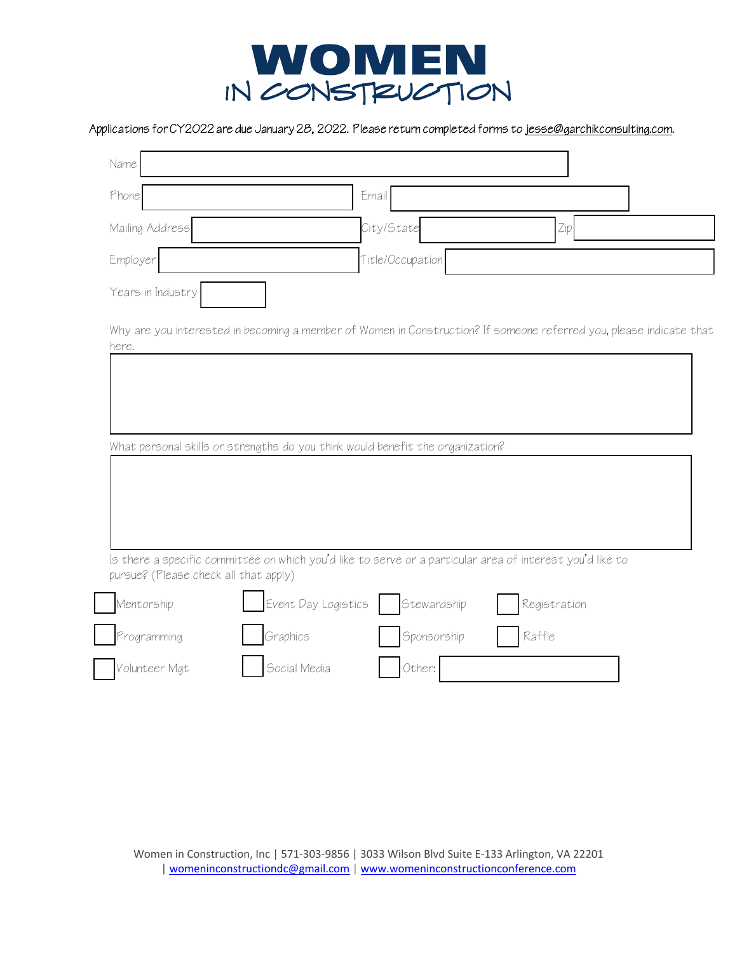

## Applications for CY2022 are due January 28, 2022. Please return completed forms to jesse@garchikconsulting.com.

| Phone                                                                                                                                                                                                                                                             |                     | Email            |        |              |  |
|-------------------------------------------------------------------------------------------------------------------------------------------------------------------------------------------------------------------------------------------------------------------|---------------------|------------------|--------|--------------|--|
| Mailing Address                                                                                                                                                                                                                                                   |                     | City/State       |        | Zip          |  |
| Employer                                                                                                                                                                                                                                                          |                     | Title/Occupation |        |              |  |
| Years in Industry                                                                                                                                                                                                                                                 |                     |                  |        |              |  |
| Why are you interested in becoming a member of Women in Construction? If someone referred you, please indicate that<br>here.                                                                                                                                      |                     |                  |        |              |  |
|                                                                                                                                                                                                                                                                   |                     |                  |        |              |  |
|                                                                                                                                                                                                                                                                   |                     |                  |        |              |  |
|                                                                                                                                                                                                                                                                   |                     |                  |        |              |  |
|                                                                                                                                                                                                                                                                   |                     |                  |        |              |  |
|                                                                                                                                                                                                                                                                   |                     |                  |        |              |  |
|                                                                                                                                                                                                                                                                   |                     |                  |        |              |  |
|                                                                                                                                                                                                                                                                   |                     |                  |        |              |  |
|                                                                                                                                                                                                                                                                   |                     |                  |        |              |  |
|                                                                                                                                                                                                                                                                   | Event Day Logistics | Stewardship      |        | Registration |  |
| What personal skills or strengths do you think would benefit the organization?<br>Is there a specific committee on which you'd like to serve or a particular area of interest you'd like to<br>pursue? (Please check all that apply)<br>Mentorship<br>Programming | Graphics            | Sponsorship      | Raffle |              |  |